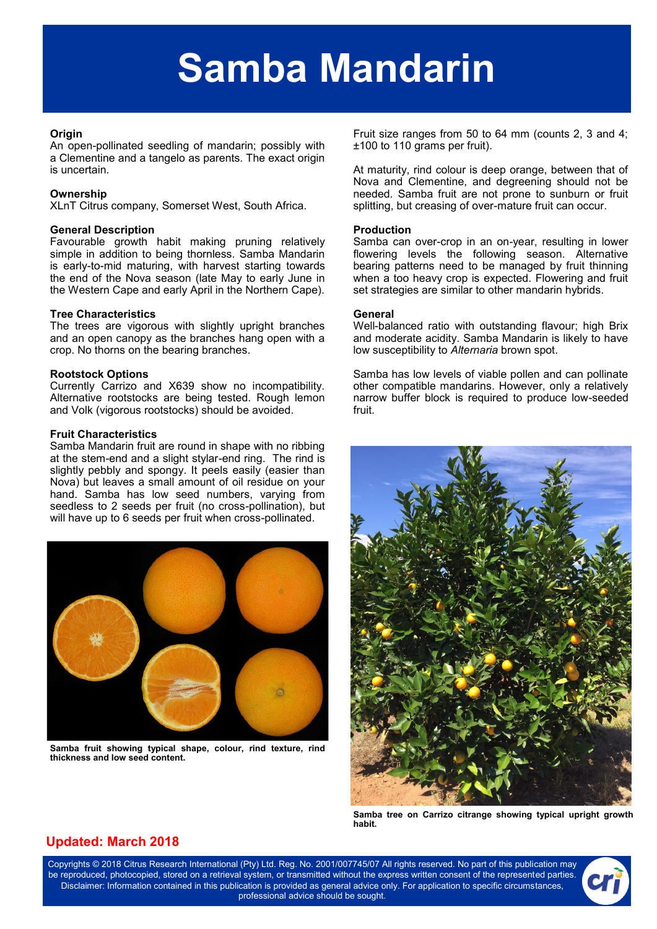# **Samba Mandarin**

# **Origin**

An open-pollinated seedling of mandarin; possibly with a Clementine and a tangelo as parents. The exact origin is uncertain.

# **Ownership**

XLnT Citrus company, Somerset West, South Africa.

## **General Description**

Favourable growth habit making pruning relatively simple in addition to being thornless. Samba Mandarin is early-to-mid maturing, with harvest starting towards the end of the Nova season (late May to early June in the Western Cape and early April in the Northern Cape).

### **Tree Characteristics**

The trees are vigorous with slightly upright branches and an open canopy as the branches hang open with a crop. No thorns on the bearing branches.

### **Rootstock Options**

Currently Carrizo and X639 show no incompatibility. Alternative rootstocks are being tested. Rough lemon and Volk (vigorous rootstocks) should be avoided.

## **Fruit Characteristics**

Samba Mandarin fruit are round in shape with no ribbing at the stem-end and a slight stylar-end ring. The rind is slightly pebbly and spongy. It peels easily (easier than Nova) but leaves a small amount of oil residue on your hand. Samba has low seed numbers, varying from seedless to 2 seeds per fruit (no cross-pollination), but will have up to 6 seeds per fruit when cross-pollinated.



**Samba fruit showing typical shape, colour, rind texture, rind thickness and low seed content.**

Fruit size ranges from 50 to 64 mm (counts 2, 3 and 4; ±100 to 110 grams per fruit).

At maturity, rind colour is deep orange, between that of Nova and Clementine, and degreening should not be needed. Samba fruit are not prone to sunburn or fruit splitting, but creasing of over-mature fruit can occur.

#### **Production**

Samba can over-crop in an on-year, resulting in lower flowering levels the following season. Alternative bearing patterns need to be managed by fruit thinning when a too heavy crop is expected. Flowering and fruit set strategies are similar to other mandarin hybrids.

## **General**

Well-balanced ratio with outstanding flavour; high Brix and moderate acidity. Samba Mandarin is likely to have low susceptibility to *Alternaria* brown spot.

Samba has low levels of viable pollen and can pollinate other compatible mandarins. However, only a relatively narrow buffer block is required to produce low-seeded fruit.



**Samba tree on Carrizo citrange showing typical upright growth habit.**

# **Updated: March 2018**

Copyrights © 2018 Citrus Research International (Pty) Ltd. Reg. No. 2001/007745/07 All rights reserved. No part of this publication may be reproduced, photocopied, stored on a retrieval system, or transmitted without the express written consent of the represented parties. Disclaimer: Information contained in this publication is provided as general advice only. For application to specific circumstances, professional advice should be sought.